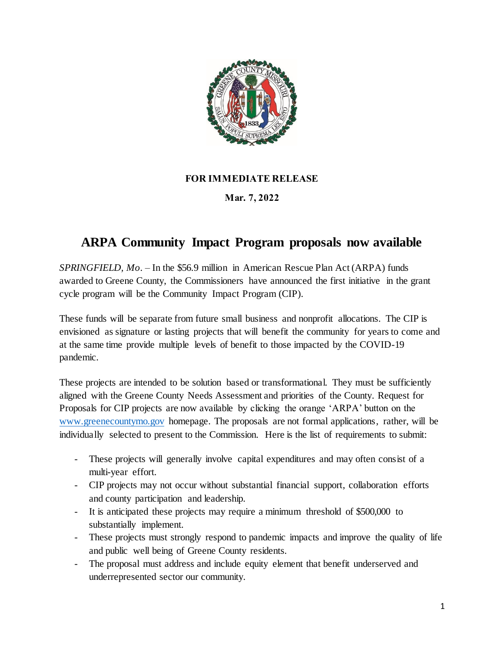

## **FOR IMMEDIATE RELEASE**

## **Mar. 7, 2022**

## **ARPA Community Impact Program proposals now available**

*SPRINGFIELD, Mo.* – In the \$56.9 million in American Rescue Plan Act (ARPA) funds awarded to Greene County, the Commissioners have announced the first initiative in the grant cycle program will be the Community Impact Program (CIP).

These funds will be separate from future small business and nonprofit allocations. The CIP is envisioned as signature or lasting projects that will benefit the community for years to come and at the same time provide multiple levels of benefit to those impacted by the COVID-19 pandemic.

These projects are intended to be solution based or transformational. They must be sufficiently aligned with the Greene County Needs Assessment and priorities of the County. Request for Proposals for CIP projects are now available by clicking the orange 'ARPA' button on the [www.greenecountymo.gov](http://www.greenecountymo.govp/) homepage. The proposals are not formal applications, rather, will be individually selected to present to the Commission. Here is the list of requirements to submit:

- These projects will generally involve capital expenditures and may often consist of a multi-year effort.
- CIP projects may not occur without substantial financial support, collaboration efforts and county participation and leadership.
- It is anticipated these projects may require a minimum threshold of \$500,000 to substantially implement.
- These projects must strongly respond to pandemic impacts and improve the quality of life and public well being of Greene County residents.
- The proposal must address and include equity element that benefit underserved and underrepresented sector our community.